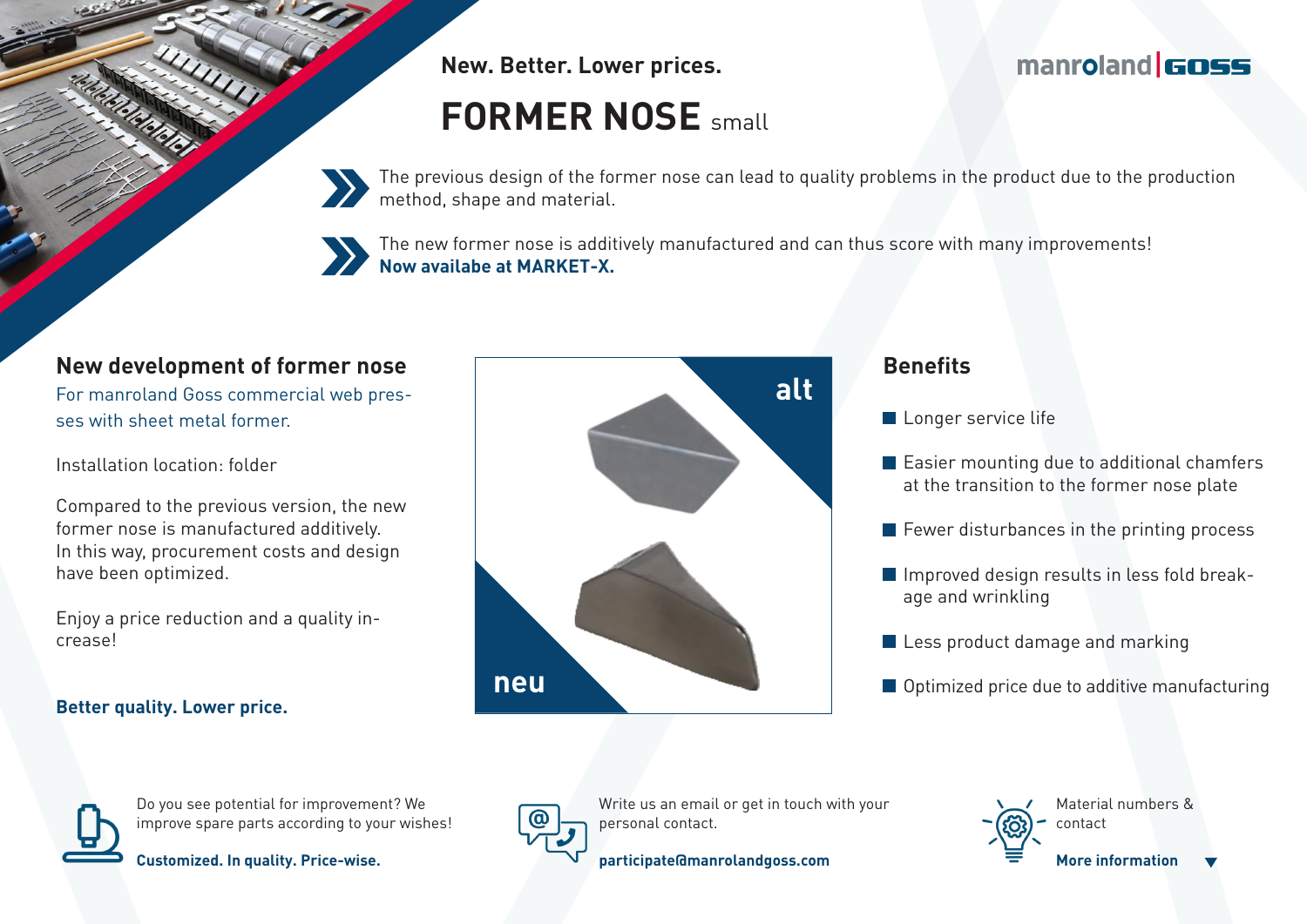**New. Better. Lower prices.**

# **FORMER NOSE** small

The previous design of the former nose can lead to quality problems in the product due to the production method, shape and material.

The new former nose is additively manufactured and can thus score with many improvements! **Now availabe at MARKET-X.**

## **New development of former nose**

For manroland Goss commercial web presses with sheet metal former.

Installation location: folder

Compared to the previous version, the new former nose is manufactured additively. In this way, procurement costs and design have been optimized.

Enjoy a price reduction and a quality increase!

#### **Better quality. Lower price.**



#### **Benefits**

- Longer service life
- **Easier mounting due to additional chamfers** at the transition to the former nose plate

manroland **GOSS** 

- $\blacksquare$  Fewer disturbances in the printing process
- Improved design results in less fold breakage and wrinkling
- Less product damage and marking
- Optimized price due to additive manufacturing



Do you see potential for improvement? We improve spare parts according to your wishes!



**Customized. In quality. Price-wise.**



Write us an email or get in touch with your personal contact.

**participate@manrolandgoss.com**